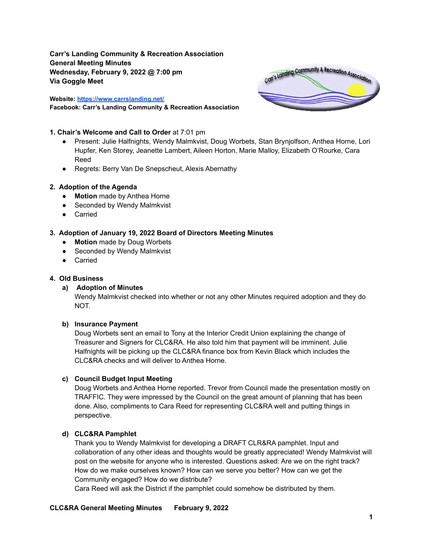**Carr's Landing Community & Recreation Association General Meeting Minutes Wednesday, February 9, 2022 @ 7:00 pm Via Goggle Meet**

**Website: <https://www.carrslanding.net/> Facebook: Carr's Landing Community & Recreation Association**



#### **1. Chair's Welcome and Call to Order** at 7:01 pm

- Present: Julie Halfnights, Wendy Malmkvist, Doug Worbets, Stan Brynjolfson, Anthea Horne, Lori Hupfer, Ken Storey, Jeanette Lambert, Aileen Horton, Marie Malloy, Elizabeth O'Rourke, Cara Reed
- Regrets: Berry Van De Snepscheut, Alexis Abernathy

#### **2. Adoption of the Agenda**

- **● Motion** made by Anthea Horne
- Seconded by Wendy Malmkvist
- Carried

## **3. Adoption of January 19, 2022 Board of Directors Meeting Minutes**

- **● Motion** made by Doug Worbets
- Seconded by Wendy Malmkvist
- Carried

#### **4. Old Business**

#### **a) Adoption of Minutes**

Wendy Malmkvist checked into whether or not any other Minutes required adoption and they do NOT.

#### **b) Insurance Payment**

Doug Worbets sent an email to Tony at the Interior Credit Union explaining the change of Treasurer and Signers for CLC&RA. He also told him that payment will be imminent. Julie Halfnights will be picking up the CLC&RA finance box from Kevin Black which includes the CLC&RA checks and will deliver to Anthea Horne.

#### **c) Council Budget Input Meeting**

Doug Worbets and Anthea Horne reported. Trevor from Council made the presentation mostly on TRAFFIC. They were impressed by the Council on the great amount of planning that has been done. Also, compliments to Cara Reed for representing CLC&RA well and putting things in perspective.

#### **d) CLC&RA Pamphlet**

Thank you to Wendy Malmkvist for developing a DRAFT CLR&RA pamphlet. Input and collaboration of any other ideas and thoughts would be greatly appreciated! Wendy Malmkvist will post on the website for anyone who is interested. Questions asked: Are we on the right track? How do we make ourselves known? How can we serve you better? How can we get the Community engaged? How do we distribute?

Cara Reed will ask the District if the pamphlet could somehow be distributed by them.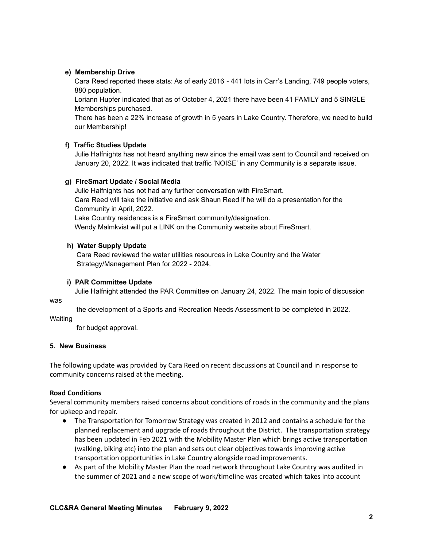## **e) Membership Drive**

Cara Reed reported these stats: As of early 2016 - 441 lots in Carr's Landing, 749 people voters, 880 population.

Loriann Hupfer indicated that as of October 4, 2021 there have been 41 FAMILY and 5 SINGLE Memberships purchased.

There has been a 22% increase of growth in 5 years in Lake Country. Therefore, we need to build our Membership!

# **f) Traffic Studies Update**

Julie Halfnights has not heard anything new since the email was sent to Council and received on January 20, 2022. It was indicated that traffic 'NOISE' in any Community is a separate issue.

## **g) FireSmart Update / Social Media**

Julie Halfnights has not had any further conversation with FireSmart. Cara Reed will take the initiative and ask Shaun Reed if he will do a presentation for the Community in April, 2022. Lake Country residences is a FireSmart community/designation. Wendy Malmkvist will put a LINK on the Community website about FireSmart.

## **h) Water Supply Update**

Cara Reed reviewed the water utilities resources in Lake Country and the Water Strategy/Management Plan for 2022 - 2024.

## **i) PAR Committee Update**

Julie Halfnight attended the PAR Committee on January 24, 2022. The main topic of discussion

was

the development of a Sports and Recreation Needs Assessment to be completed in 2022.

Waiting

for budget approval.

## **5. New Business**

The following update was provided by Cara Reed on recent discussions at Council and in response to community concerns raised at the meeting.

## **Road Conditions**

Several community members raised concerns about conditions of roads in the community and the plans for upkeep and repair.

- The Transportation for Tomorrow Strategy was created in 2012 and contains a schedule for the planned replacement and upgrade of roads throughout the District. The transportation strategy has been updated in Feb 2021 with the Mobility Master Plan which brings active transportation (walking, biking etc) into the plan and sets out clear objectives towards improving active transportation opportunities in Lake Country alongside road improvements.
- As part of the Mobility Master Plan the road network throughout Lake Country was audited in the summer of 2021 and a new scope of work/timeline was created which takes into account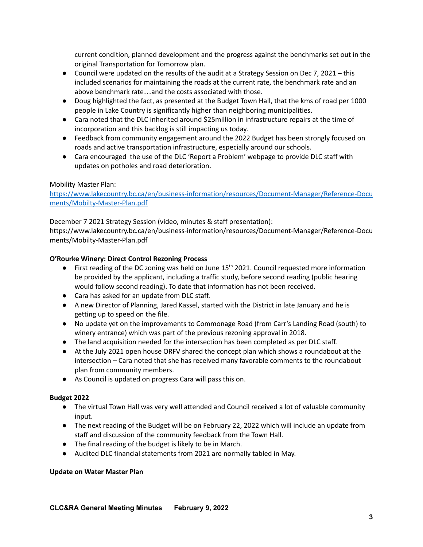current condition, planned development and the progress against the benchmarks set out in the original Transportation for Tomorrow plan.

- Council were updated on the results of the audit at a Strategy Session on Dec 7, 2021 this included scenarios for maintaining the roads at the current rate, the benchmark rate and an above benchmark rate…and the costs associated with those.
- Doug highlighted the fact, as presented at the Budget Town Hall, that the kms of road per 1000 people in Lake Country is significantly higher than neighboring municipalities.
- Cara noted that the DLC inherited around \$25million in infrastructure repairs at the time of incorporation and this backlog is still impacting us today.
- Feedback from community engagement around the 2022 Budget has been strongly focused on roads and active transportation infrastructure, especially around our schools.
- Cara encouraged the use of the DLC 'Report a Problem' webpage to provide DLC staff with updates on potholes and road deterioration.

## Mobility Master Plan:

[https://www.lakecountry.bc.ca/en/business-information/resources/Document-Manager/Reference-Docu](https://www.lakecountry.bc.ca/en/business-information/resources/Document-Manager/Reference-Documents/Mobilty-Master-Plan.pdf) [ments/Mobilty-Master-Plan.pdf](https://www.lakecountry.bc.ca/en/business-information/resources/Document-Manager/Reference-Documents/Mobilty-Master-Plan.pdf)

December 7 2021 Strategy Session (video, minutes & staff presentation): https://www.lakecountry.bc.ca/en/business-information/resources/Document-Manager/Reference-Docu ments/Mobilty-Master-Plan.pdf

# **O'Rourke Winery: Direct Control Rezoning Process**

- First reading of the DC zoning was held on June 15<sup>th</sup> 2021. Council requested more information be provided by the applicant, including a traffic study, before second reading (public hearing would follow second reading). To date that information has not been received.
- Cara has asked for an update from DLC staff.
- A new Director of Planning, Jared Kassel, started with the District in late January and he is getting up to speed on the file.
- No update yet on the improvements to Commonage Road (from Carr's Landing Road (south) to winery entrance) which was part of the previous rezoning approval in 2018.
- The land acquisition needed for the intersection has been completed as per DLC staff.
- At the July 2021 open house ORFV shared the concept plan which shows a roundabout at the intersection – Cara noted that she has received many favorable comments to the roundabout plan from community members.
- As Council is updated on progress Cara will pass this on.

## **Budget 2022**

- The virtual Town Hall was very well attended and Council received a lot of valuable community input.
- The next reading of the Budget will be on February 22, 2022 which will include an update from staff and discussion of the community feedback from the Town Hall.
- The final reading of the budget is likely to be in March.
- Audited DLC financial statements from 2021 are normally tabled in May.

## **Update on Water Master Plan**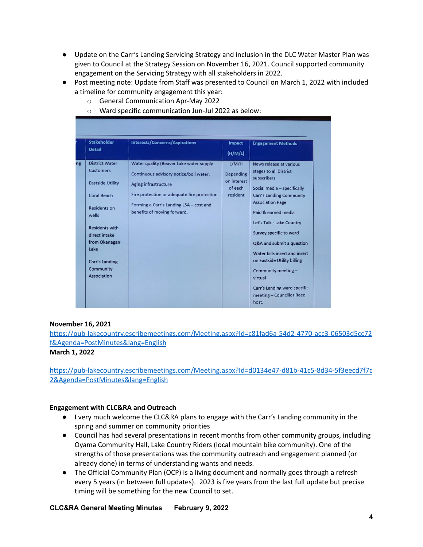- Update on the Carr's Landing Servicing Strategy and inclusion in the DLC Water Master Plan was given to Council at the Strategy Session on November 16, 2021. Council supported community engagement on the Servicing Strategy with all stakeholders in 2022.
- Post meeting note: Update from Staff was presented to Council on March 1, 2022 with included a timeline for community engagement this year:
	- o General Communication Apr-May 2022
	- o Ward specific communication Jun-Jul 2022 as below:

| <b>Stakeholder</b><br><b>Detail</b>                                                                                                                                                                                                  | <b>Interests/Concerns/Aspirations</b>                                                                                                                                                                                               | <b>Impact</b><br>(H/M/L)                                 | <b>Engagement Methods</b>                                                                                                                                                                                                                                                                                                                                                                                                         |
|--------------------------------------------------------------------------------------------------------------------------------------------------------------------------------------------------------------------------------------|-------------------------------------------------------------------------------------------------------------------------------------------------------------------------------------------------------------------------------------|----------------------------------------------------------|-----------------------------------------------------------------------------------------------------------------------------------------------------------------------------------------------------------------------------------------------------------------------------------------------------------------------------------------------------------------------------------------------------------------------------------|
| <b>District Water</b><br><b>Customers</b><br><b>Eastside Utility</b><br><b>Coral Beach</b><br>Residents on<br>wells<br><b>Residents with</b><br>direct intake<br>from Okanagan<br>Lake<br>Carr's Landing<br>Community<br>Association | Water quality (Beaver Lake water supply<br>Continuous advisory notice/boil water.<br>Aging infrastructure<br>Fire protection or adequate fire protection.<br>Forming a Carr's Landing LSA - cost and<br>benefits of moving forward. | L/M/H<br>Depending<br>on interest<br>of each<br>resident | News release at various<br>stages to all District<br>subscribers<br>Social media - specifically<br>Carr's Landing Community<br><b>Association Page</b><br>Paid & earned media<br>Let's Talk - Lake Country<br>Survey specific to ward<br>Q&A and submit a question<br>Water bills insert and insert<br>on Eastside Utility billing<br>Community meeting -<br>virtual<br>Carr's Landing ward specific<br>meeting - Councillor Reed |

## **November 16, 2021**

[https://pub-lakecountry.escribemeetings.com/Meeting.aspx?Id=c81fad6a-54d2-4770-acc3-06503d5cc72](https://pub-lakecountry.escribemeetings.com/Meeting.aspx?Id=c81fad6a-54d2-4770-acc3-06503d5cc72f&Agenda=PostMinutes&lang=English) [f&Agenda=PostMinutes&lang=English](https://pub-lakecountry.escribemeetings.com/Meeting.aspx?Id=c81fad6a-54d2-4770-acc3-06503d5cc72f&Agenda=PostMinutes&lang=English)

#### **March 1, 2022**

[https://pub-lakecountry.escribemeetings.com/Meeting.aspx?Id=d0134e47-d81b-41c5-8d34-5f3eecd7f7c](https://pub-lakecountry.escribemeetings.com/Meeting.aspx?Id=d0134e47-d81b-41c5-8d34-5f3eecd7f7c2&Agenda=PostMinutes&lang=English) [2&Agenda=PostMinutes&lang=English](https://pub-lakecountry.escribemeetings.com/Meeting.aspx?Id=d0134e47-d81b-41c5-8d34-5f3eecd7f7c2&Agenda=PostMinutes&lang=English)

#### **Engagement with CLC&RA and Outreach**

- **●** I very much welcome the CLC&RA plans to engage with the Carr's Landing community in the spring and summer on community priorities
- **●** Council has had several presentations in recent months from other community groups, including Oyama Community Hall, Lake Country Riders (local mountain bike community). One of the strengths of those presentations was the community outreach and engagement planned (or already done) in terms of understanding wants and needs.
- **●** The Official Community Plan (OCP) is a living document and normally goes through a refresh every 5 years (in between full updates). 2023 is five years from the last full update but precise timing will be something for the new Council to set.

**CLC&RA General Meeting Minutes February 9, 2022**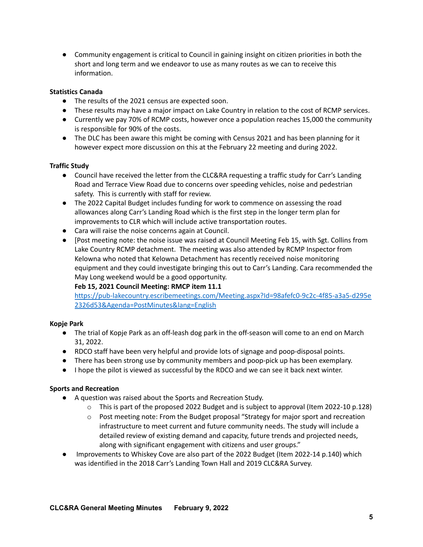**●** Community engagement is critical to Council in gaining insight on citizen priorities in both the short and long term and we endeavor to use as many routes as we can to receive this information.

# **Statistics Canada**

- The results of the 2021 census are expected soon.
- These results may have a major impact on Lake Country in relation to the cost of RCMP services.
- Currently we pay 70% of RCMP costs, however once a population reaches 15,000 the community is responsible for 90% of the costs.
- The DLC has been aware this might be coming with Census 2021 and has been planning for it however expect more discussion on this at the February 22 meeting and during 2022.

# **Traffic Study**

- Council have received the letter from the CLC&RA requesting a traffic study for Carr's Landing Road and Terrace View Road due to concerns over speeding vehicles, noise and pedestrian safety. This is currently with staff for review.
- The 2022 Capital Budget includes funding for work to commence on assessing the road allowances along Carr's Landing Road which is the first step in the longer term plan for improvements to CLR which will include active transportation routes.
- Cara will raise the noise concerns again at Council.
- [Post meeting note: the noise issue was raised at Council Meeting Feb 15, with Sgt. Collins from Lake Country RCMP detachment. The meeting was also attended by RCMP Inspector from Kelowna who noted that Kelowna Detachment has recently received noise monitoring equipment and they could investigate bringing this out to Carr's Landing. Cara recommended the May Long weekend would be a good opportunity.

## **Feb 15, 2021 Council Meeting: RMCP item 11.1**

[https://pub-lakecountry.escribemeetings.com/Meeting.aspx?Id=98afefc0-9c2c-4f85-a3a5-d295e](https://pub-lakecountry.escribemeetings.com/Meeting.aspx?Id=98afefc0-9c2c-4f85-a3a5-d295e2326d53&Agenda=PostMinutes&lang=English) [2326d53&Agenda=PostMinutes&lang=English](https://pub-lakecountry.escribemeetings.com/Meeting.aspx?Id=98afefc0-9c2c-4f85-a3a5-d295e2326d53&Agenda=PostMinutes&lang=English)

# **Kopje Park**

- The trial of Kopje Park as an off-leash dog park in the off-season will come to an end on March 31, 2022.
- RDCO staff have been very helpful and provide lots of signage and poop-disposal points.
- There has been strong use by community members and poop-pick up has been exemplary.
- I hope the pilot is viewed as successful by the RDCO and we can see it back next winter.

## **Sports and Recreation**

- A question was raised about the Sports and Recreation Study.
	- $\circ$  This is part of the proposed 2022 Budget and is subject to approval (Item 2022-10 p.128)
	- o Post meeting note: From the Budget proposal "Strategy for major sport and recreation infrastructure to meet current and future community needs. The study will include a detailed review of existing demand and capacity, future trends and projected needs, along with significant engagement with citizens and user groups."
- Improvements to Whiskey Cove are also part of the 2022 Budget (Item 2022-14 p.140) which was identified in the 2018 Carr's Landing Town Hall and 2019 CLC&RA Survey.